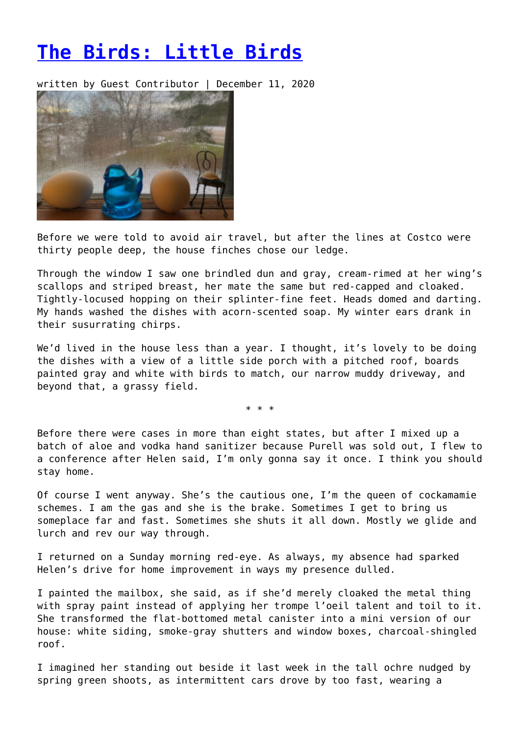## **[The Birds: Little Birds](https://entropymag.org/the-birds-little-birds/)**

written by Guest Contributor | December 11, 2020



Before we were told to avoid air travel, but after the lines at Costco were thirty people deep, the house finches chose our ledge.

Through the window I saw one brindled dun and gray, cream-rimed at her wing's scallops and striped breast, her mate the same but red-capped and cloaked. Tightly-locused hopping on their splinter-fine feet. Heads domed and darting. My hands washed the dishes with acorn-scented soap. My winter ears drank in their susurrating chirps.

We'd lived in the house less than a year. I thought, it's lovely to be doing the dishes with a view of a little side porch with a pitched roof, boards painted gray and white with birds to match, our narrow muddy driveway, and beyond that, a grassy field.

\* \* \*

Before there were cases in more than eight states, but after I mixed up a batch of aloe and vodka hand sanitizer because Purell was sold out, I flew to a conference after Helen said, I'm only gonna say it once. I think you should stay home.

Of course I went anyway. She's the cautious one, I'm the queen of cockamamie schemes. I am the gas and she is the brake. Sometimes I get to bring us someplace far and fast. Sometimes she shuts it all down. Mostly we glide and lurch and rev our way through.

I returned on a Sunday morning red-eye. As always, my absence had sparked Helen's drive for home improvement in ways my presence dulled.

I painted the mailbox, she said, as if she'd merely cloaked the metal thing with spray paint instead of applying her trompe l'oeil talent and toil to it. She transformed the flat-bottomed metal canister into a mini version of our house: white siding, smoke-gray shutters and window boxes, charcoal-shingled roof.

I imagined her standing out beside it last week in the tall ochre nudged by spring green shoots, as intermittent cars drove by too fast, wearing a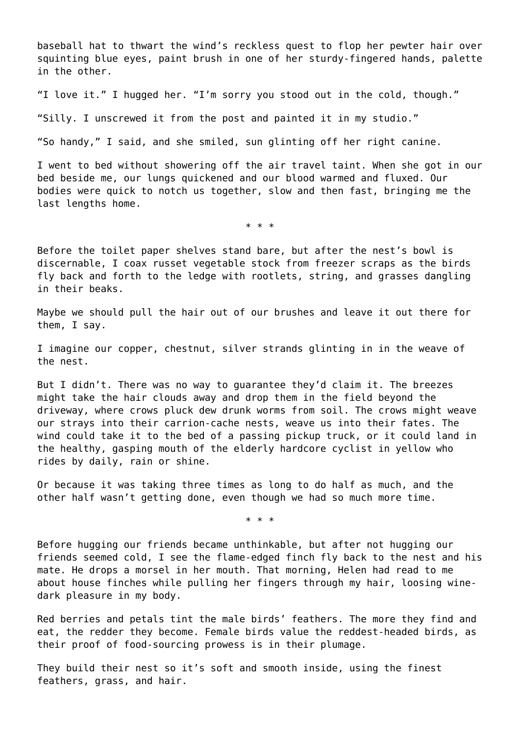baseball hat to thwart the wind's reckless quest to flop her pewter hair over squinting blue eyes, paint brush in one of her sturdy-fingered hands, palette in the other.

"I love it." I hugged her. "I'm sorry you stood out in the cold, though."

"Silly. I unscrewed it from the post and painted it in my studio."

"So handy," I said, and she smiled, sun glinting off her right canine.

I went to bed without showering off the air travel taint. When she got in our bed beside me, our lungs quickened and our blood warmed and fluxed. Our bodies were quick to notch us together, slow and then fast, bringing me the last lengths home.

\* \* \*

Before the toilet paper shelves stand bare, but after the nest's bowl is discernable, I coax russet vegetable stock from freezer scraps as the birds fly back and forth to the ledge with rootlets, string, and grasses dangling in their beaks.

Maybe we should pull the hair out of our brushes and leave it out there for them, I say.

I imagine our copper, chestnut, silver strands glinting in in the weave of the nest.

But I didn't. There was no way to guarantee they'd claim it. The breezes might take the hair clouds away and drop them in the field beyond the driveway, where crows pluck dew drunk worms from soil. The crows might weave our strays into their carrion-cache nests, weave us into their fates. The wind could take it to the bed of a passing pickup truck, or it could land in the healthy, gasping mouth of the elderly hardcore cyclist in yellow who rides by daily, rain or shine.

Or because it was taking three times as long to do half as much, and the other half wasn't getting done, even though we had so much more time.

\* \* \*

Before hugging our friends became unthinkable, but after not hugging our friends seemed cold, I see the flame-edged finch fly back to the nest and his mate. He drops a morsel in her mouth. That morning, Helen had read to me about house finches while pulling her fingers through my hair, loosing winedark pleasure in my body.

Red berries and petals tint the male birds' feathers. The more they find and eat, the redder they become. Female birds value the reddest-headed birds, as their proof of food-sourcing prowess is in their plumage.

They build their nest so it's soft and smooth inside, using the finest feathers, grass, and hair.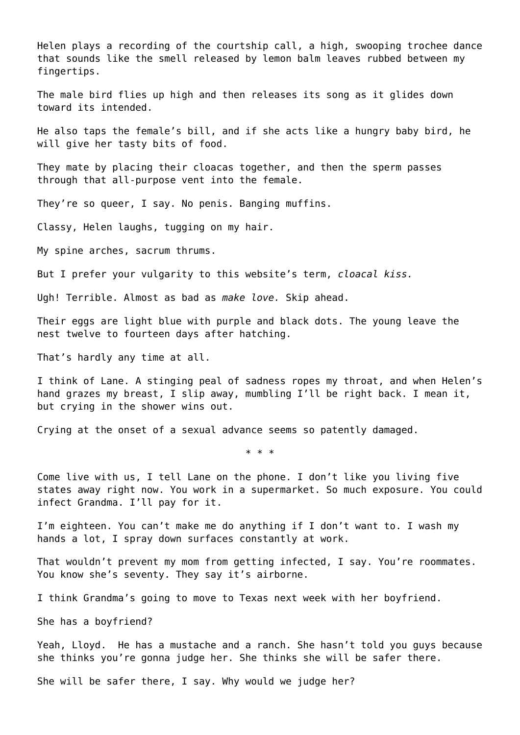Helen plays a recording of the courtship call, a high, swooping trochee dance that sounds like the smell released by lemon balm leaves rubbed between my fingertips.

The male bird flies up high and then releases its song as it glides down toward its intended.

He also taps the female's bill, and if she acts like a hungry baby bird, he will give her tasty bits of food.

They mate by placing their cloacas together, and then the sperm passes through that all-purpose vent into the female.

They're so queer, I say. No penis. Banging muffins.

Classy, Helen laughs, tugging on my hair.

My spine arches, sacrum thrums.

But I prefer your vulgarity to this website's term, *cloacal kiss.*

Ugh! Terrible. Almost as bad as *make love.* Skip ahead.

Their eggs are light blue with purple and black dots. The young leave the nest twelve to fourteen days after hatching.

That's hardly any time at all.

I think of Lane. A stinging peal of sadness ropes my throat, and when Helen's hand grazes my breast, I slip away, mumbling I'll be right back. I mean it, but crying in the shower wins out.

Crying at the onset of a sexual advance seems so patently damaged.

\* \* \*

Come live with us, I tell Lane on the phone. I don't like you living five states away right now. You work in a supermarket. So much exposure. You could infect Grandma. I'll pay for it.

I'm eighteen. You can't make me do anything if I don't want to. I wash my hands a lot, I spray down surfaces constantly at work.

That wouldn't prevent my mom from getting infected, I say. You're roommates. You know she's seventy. They say it's airborne.

I think Grandma's going to move to Texas next week with her boyfriend.

She has a boyfriend?

Yeah, Lloyd. He has a mustache and a ranch. She hasn't told you guys because she thinks you're gonna judge her. She thinks she will be safer there.

She will be safer there, I say. Why would we judge her?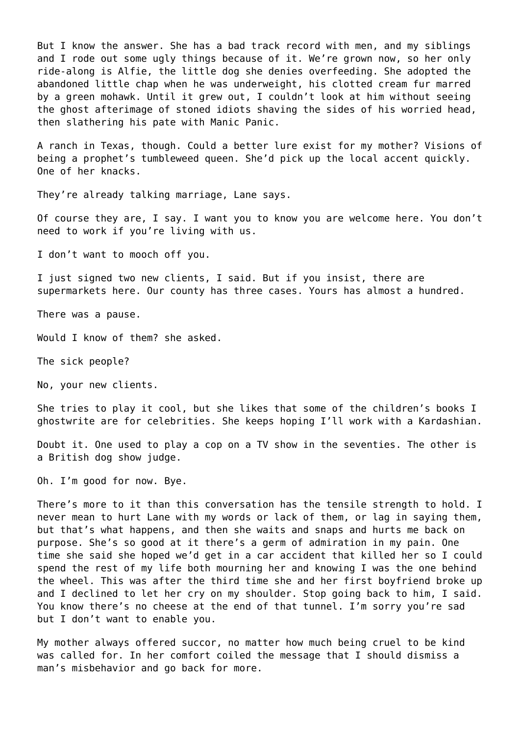But I know the answer. She has a bad track record with men, and my siblings and I rode out some ugly things because of it. We're grown now, so her only ride-along is Alfie, the little dog she denies overfeeding. She adopted the abandoned little chap when he was underweight, his clotted cream fur marred by a green mohawk. Until it grew out, I couldn't look at him without seeing the ghost afterimage of stoned idiots shaving the sides of his worried head, then slathering his pate with Manic Panic.

A ranch in Texas, though. Could a better lure exist for my mother? Visions of being a prophet's tumbleweed queen. She'd pick up the local accent quickly. One of her knacks.

They're already talking marriage, Lane says.

Of course they are, I say. I want you to know you are welcome here. You don't need to work if you're living with us.

I don't want to mooch off you.

I just signed two new clients, I said. But if you insist, there are supermarkets here. Our county has three cases. Yours has almost a hundred.

There was a pause.

Would I know of them? she asked.

The sick people?

No, your new clients.

She tries to play it cool, but she likes that some of the children's books I ghostwrite are for celebrities. She keeps hoping I'll work with a Kardashian.

Doubt it. One used to play a cop on a TV show in the seventies. The other is a British dog show judge.

Oh. I'm good for now. Bye.

There's more to it than this conversation has the tensile strength to hold. I never mean to hurt Lane with my words or lack of them, or lag in saying them, but that's what happens, and then she waits and snaps and hurts me back on purpose. She's so good at it there's a germ of admiration in my pain. One time she said she hoped we'd get in a car accident that killed her so I could spend the rest of my life both mourning her and knowing I was the one behind the wheel. This was after the third time she and her first boyfriend broke up and I declined to let her cry on my shoulder. Stop going back to him, I said. You know there's no cheese at the end of that tunnel. I'm sorry you're sad but I don't want to enable you.

My mother always offered succor, no matter how much being cruel to be kind was called for. In her comfort coiled the message that I should dismiss a man's misbehavior and go back for more.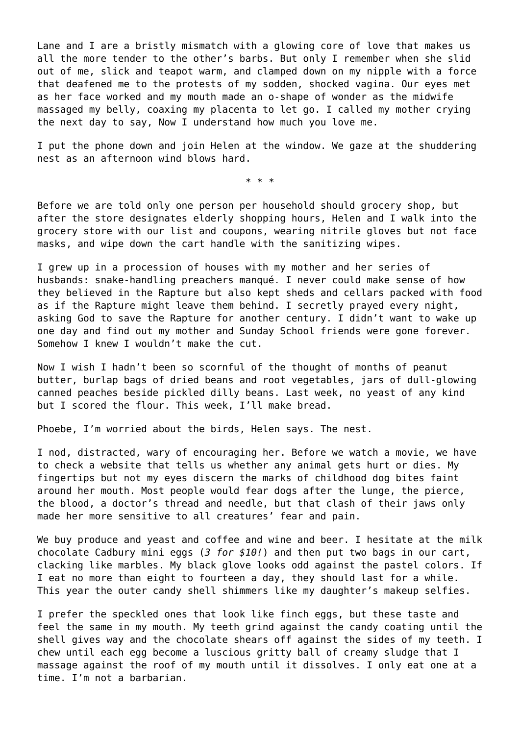Lane and I are a bristly mismatch with a glowing core of love that makes us all the more tender to the other's barbs. But only I remember when she slid out of me, slick and teapot warm, and clamped down on my nipple with a force that deafened me to the protests of my sodden, shocked vagina. Our eyes met as her face worked and my mouth made an o-shape of wonder as the midwife massaged my belly, coaxing my placenta to let go. I called my mother crying the next day to say, Now I understand how much you love me.

I put the phone down and join Helen at the window. We gaze at the shuddering nest as an afternoon wind blows hard.

\* \* \*

Before we are told only one person per household should grocery shop, but after the store designates elderly shopping hours, Helen and I walk into the grocery store with our list and coupons, wearing nitrile gloves but not face masks, and wipe down the cart handle with the sanitizing wipes.

I grew up in a procession of houses with my mother and her series of husbands: snake-handling preachers manqué. I never could make sense of how they believed in the Rapture but also kept sheds and cellars packed with food as if the Rapture might leave them behind. I secretly prayed every night, asking God to save the Rapture for another century. I didn't want to wake up one day and find out my mother and Sunday School friends were gone forever. Somehow I knew I wouldn't make the cut.

Now I wish I hadn't been so scornful of the thought of months of peanut butter, burlap bags of dried beans and root vegetables, jars of dull-glowing canned peaches beside pickled dilly beans. Last week, no yeast of any kind but I scored the flour. This week, I'll make bread.

Phoebe, I'm worried about the birds, Helen says. The nest.

I nod, distracted, wary of encouraging her. Before we watch a movie, we have to check a website that tells us whether any animal gets hurt or dies. My fingertips but not my eyes discern the marks of childhood dog bites faint around her mouth. Most people would fear dogs after the lunge, the pierce, the blood, a doctor's thread and needle, but that clash of their jaws only made her more sensitive to all creatures' fear and pain.

We buy produce and yeast and coffee and wine and beer. I hesitate at the milk chocolate Cadbury mini eggs (*3 for \$10!*) and then put two bags in our cart, clacking like marbles. My black glove looks odd against the pastel colors. If I eat no more than eight to fourteen a day, they should last for a while. This year the outer candy shell shimmers like my daughter's makeup selfies.

I prefer the speckled ones that look like finch eggs, but these taste and feel the same in my mouth. My teeth grind against the candy coating until the shell gives way and the chocolate shears off against the sides of my teeth. I chew until each egg become a luscious gritty ball of creamy sludge that I massage against the roof of my mouth until it dissolves. I only eat one at a time. I'm not a barbarian.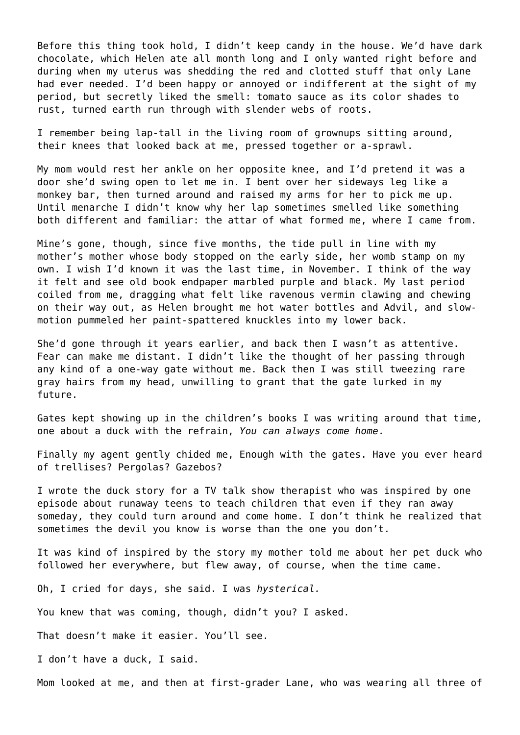Before this thing took hold, I didn't keep candy in the house. We'd have dark chocolate, which Helen ate all month long and I only wanted right before and during when my uterus was shedding the red and clotted stuff that only Lane had ever needed. I'd been happy or annoyed or indifferent at the sight of my period, but secretly liked the smell: tomato sauce as its color shades to rust, turned earth run through with slender webs of roots.

I remember being lap-tall in the living room of grownups sitting around, their knees that looked back at me, pressed together or a-sprawl.

My mom would rest her ankle on her opposite knee, and I'd pretend it was a door she'd swing open to let me in. I bent over her sideways leg like a monkey bar, then turned around and raised my arms for her to pick me up. Until menarche I didn't know why her lap sometimes smelled like something both different and familiar: the attar of what formed me, where I came from.

Mine's gone, though, since five months, the tide pull in line with my mother's mother whose body stopped on the early side, her womb stamp on my own. I wish I'd known it was the last time, in November. I think of the way it felt and see old book endpaper marbled purple and black. My last period coiled from me, dragging what felt like ravenous vermin clawing and chewing on their way out, as Helen brought me hot water bottles and Advil, and slowmotion pummeled her paint-spattered knuckles into my lower back.

She'd gone through it years earlier, and back then I wasn't as attentive. Fear can make me distant. I didn't like the thought of her passing through any kind of a one-way gate without me. Back then I was still tweezing rare gray hairs from my head, unwilling to grant that the gate lurked in my future.

Gates kept showing up in the children's books I was writing around that time, one about a duck with the refrain, *You can always come home*.

Finally my agent gently chided me, Enough with the gates. Have you ever heard of trellises? Pergolas? Gazebos?

I wrote the duck story for a TV talk show therapist who was inspired by one episode about runaway teens to teach children that even if they ran away someday, they could turn around and come home. I don't think he realized that sometimes the devil you know is worse than the one you don't.

It was kind of inspired by the story my mother told me about her pet duck who followed her everywhere, but flew away, of course, when the time came.

Oh, I cried for days, she said. I was *hysterical.*

You knew that was coming, though, didn't you? I asked.

That doesn't make it easier. You'll see.

I don't have a duck, I said.

Mom looked at me, and then at first-grader Lane, who was wearing all three of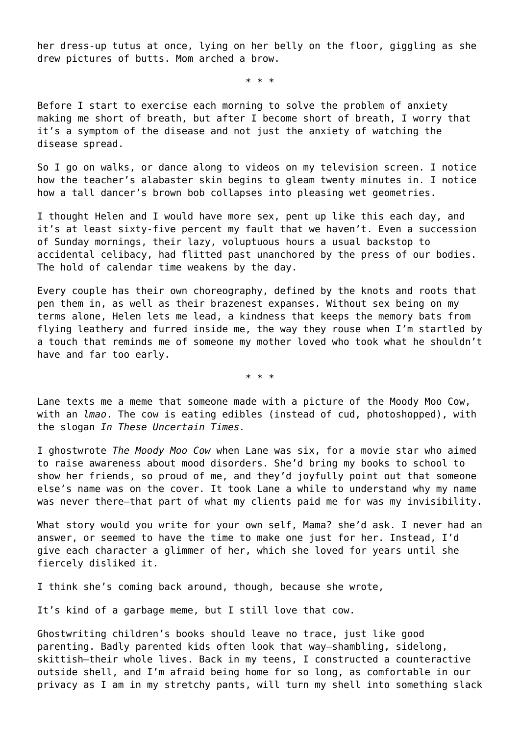her dress-up tutus at once, lying on her belly on the floor, giggling as she drew pictures of butts. Mom arched a brow.

\* \* \*

Before I start to exercise each morning to solve the problem of anxiety making me short of breath, but after I become short of breath, I worry that it's a symptom of the disease and not just the anxiety of watching the disease spread.

So I go on walks, or dance along to videos on my television screen. I notice how the teacher's alabaster skin begins to gleam twenty minutes in. I notice how a tall dancer's brown bob collapses into pleasing wet geometries.

I thought Helen and I would have more sex, pent up like this each day, and it's at least sixty-five percent my fault that we haven't. Even a succession of Sunday mornings, their lazy, voluptuous hours a usual backstop to accidental celibacy, had flitted past unanchored by the press of our bodies. The hold of calendar time weakens by the day.

Every couple has their own choreography, defined by the knots and roots that pen them in, as well as their brazenest expanses. Without sex being on my terms alone, Helen lets me lead, a kindness that keeps the memory bats from flying leathery and furred inside me, the way they rouse when I'm startled by a touch that reminds me of someone my mother loved who took what he shouldn't have and far too early.

\* \* \*

Lane texts me a meme that someone made with a picture of the Moody Moo Cow, with an *lmao*. The cow is eating edibles (instead of cud, photoshopped), with the slogan *In These Uncertain Times.*

I ghostwrote *The Moody Moo Cow* when Lane was six, for a movie star who aimed to raise awareness about mood disorders. She'd bring my books to school to show her friends, so proud of me, and they'd joyfully point out that someone else's name was on the cover. It took Lane a while to understand why my name was never there—that part of what my clients paid me for was my invisibility.

What story would you write for your own self, Mama? she'd ask. I never had an answer, or seemed to have the time to make one just for her. Instead, I'd give each character a glimmer of her, which she loved for years until she fiercely disliked it.

I think she's coming back around, though, because she wrote,

It's kind of a garbage meme, but I still love that cow.

Ghostwriting children's books should leave no trace, just like good parenting. Badly parented kids often look that way—shambling, sidelong, skittish—their whole lives. Back in my teens, I constructed a counteractive outside shell, and I'm afraid being home for so long, as comfortable in our privacy as I am in my stretchy pants, will turn my shell into something slack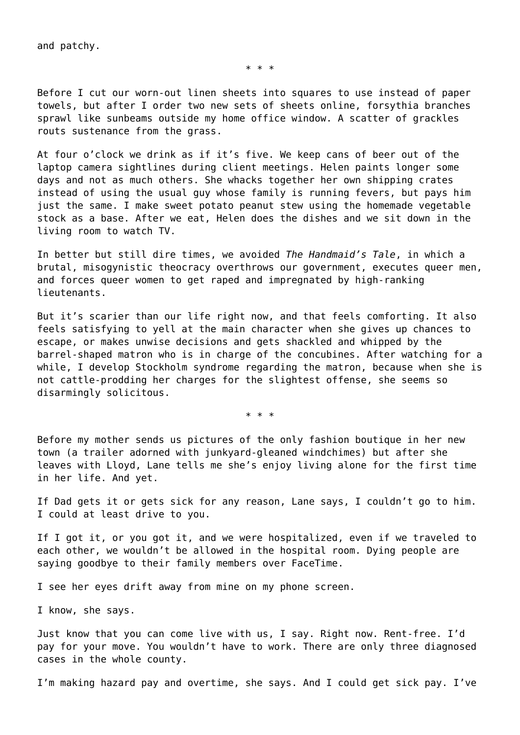and patchy.

\* \* \*

Before I cut our worn-out linen sheets into squares to use instead of paper towels, but after I order two new sets of sheets online, forsythia branches sprawl like sunbeams outside my home office window. A scatter of grackles routs sustenance from the grass.

At four o'clock we drink as if it's five. We keep cans of beer out of the laptop camera sightlines during client meetings. Helen paints longer some days and not as much others. She whacks together her own shipping crates instead of using the usual guy whose family is running fevers, but pays him just the same. I make sweet potato peanut stew using the homemade vegetable stock as a base. After we eat, Helen does the dishes and we sit down in the living room to watch TV.

In better but still dire times, we avoided *The Handmaid's Tale*, in which a brutal, misogynistic theocracy overthrows our government, executes queer men, and forces queer women to get raped and impregnated by high-ranking lieutenants.

But it's scarier than our life right now, and that feels comforting. It also feels satisfying to yell at the main character when she gives up chances to escape, or makes unwise decisions and gets shackled and whipped by the barrel-shaped matron who is in charge of the concubines. After watching for a while, I develop Stockholm syndrome regarding the matron, because when she is not cattle-prodding her charges for the slightest offense, she seems so disarmingly solicitous.

\* \* \*

Before my mother sends us pictures of the only fashion boutique in her new town (a trailer adorned with junkyard-gleaned windchimes) but after she leaves with Lloyd, Lane tells me she's enjoy living alone for the first time in her life. And yet.

If Dad gets it or gets sick for any reason, Lane says, I couldn't go to him. I could at least drive to you.

If I got it, or you got it, and we were hospitalized, even if we traveled to each other, we wouldn't be allowed in the hospital room. Dying people are saying goodbye to their family members over FaceTime.

I see her eyes drift away from mine on my phone screen.

I know, she says.

Just know that you can come live with us, I say. Right now. Rent-free. I'd pay for your move. You wouldn't have to work. There are only three diagnosed cases in the whole county.

I'm making hazard pay and overtime, she says. And I could get sick pay. I've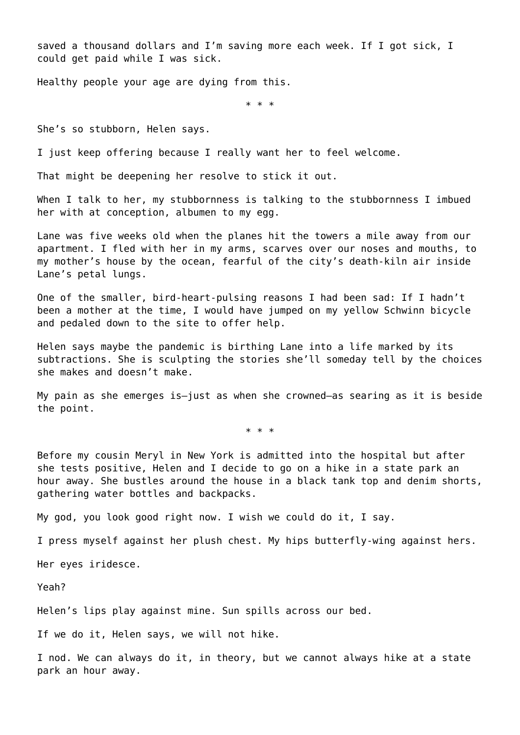saved a thousand dollars and I'm saving more each week. If I got sick, I could get paid while I was sick.

Healthy people your age are dying from this.

\* \* \*

She's so stubborn, Helen says.

I just keep offering because I really want her to feel welcome.

That might be deepening her resolve to stick it out.

When I talk to her, my stubbornness is talking to the stubbornness I imbued her with at conception, albumen to my egg.

Lane was five weeks old when the planes hit the towers a mile away from our apartment. I fled with her in my arms, scarves over our noses and mouths, to my mother's house by the ocean, fearful of the city's death-kiln air inside Lane's petal lungs.

One of the smaller, bird-heart-pulsing reasons I had been sad: If I hadn't been a mother at the time, I would have jumped on my yellow Schwinn bicycle and pedaled down to the site to offer help.

Helen says maybe the pandemic is birthing Lane into a life marked by its subtractions. She is sculpting the stories she'll someday tell by the choices she makes and doesn't make.

My pain as she emerges is—just as when she crowned—as searing as it is beside the point.

\* \* \*

Before my cousin Meryl in New York is admitted into the hospital but after she tests positive, Helen and I decide to go on a hike in a state park an hour away. She bustles around the house in a black tank top and denim shorts, gathering water bottles and backpacks.

My god, you look good right now. I wish we could do it, I say.

I press myself against her plush chest. My hips butterfly-wing against hers.

Her eyes iridesce.

Yeah?

Helen's lips play against mine. Sun spills across our bed.

If we do it, Helen says, we will not hike.

I nod. We can always do it, in theory, but we cannot always hike at a state park an hour away.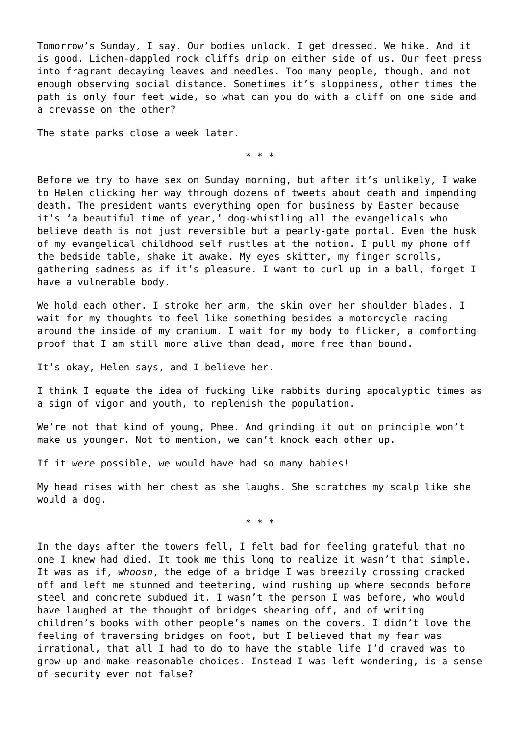Tomorrow's Sunday, I say. Our bodies unlock. I get dressed. We hike. And it is good. Lichen-dappled rock cliffs drip on either side of us. Our feet press into fragrant decaying leaves and needles. Too many people, though, and not enough observing social distance. Sometimes it's sloppiness, other times the path is only four feet wide, so what can you do with a cliff on one side and a crevasse on the other?

The state parks close a week later.

\* \* \*

Before we try to have sex on Sunday morning, but after it's unlikely, I wake to Helen clicking her way through dozens of tweets about death and impending death. The president wants everything open for business by Easter because it's 'a beautiful time of year,' dog-whistling all the evangelicals who believe death is not just reversible but a pearly-gate portal. Even the husk of my evangelical childhood self rustles at the notion. I pull my phone off the bedside table, shake it awake. My eyes skitter, my finger scrolls, gathering sadness as if it's pleasure. I want to curl up in a ball, forget I have a vulnerable body.

We hold each other. I stroke her arm, the skin over her shoulder blades. I wait for my thoughts to feel like something besides a motorcycle racing around the inside of my cranium. I wait for my body to flicker, a comforting proof that I am still more alive than dead, more free than bound.

It's okay, Helen says, and I believe her.

I think I equate the idea of fucking like rabbits during apocalyptic times as a sign of vigor and youth, to replenish the population.

We're not that kind of young, Phee. And grinding it out on principle won't make us younger. Not to mention, we can't knock each other up.

If it *were* possible, we would have had so many babies!

My head rises with her chest as she laughs. She scratches my scalp like she would a dog.

\* \* \*

In the days after the towers fell, I felt bad for feeling grateful that no one I knew had died. It took me this long to realize it wasn't that simple. It was as if, *whoosh*, the edge of a bridge I was breezily crossing cracked off and left me stunned and teetering, wind rushing up where seconds before steel and concrete subdued it. I wasn't the person I was before, who would have laughed at the thought of bridges shearing off, and of writing children's books with other people's names on the covers. I didn't love the feeling of traversing bridges on foot, but I believed that my fear was irrational, that all I had to do to have the stable life I'd craved was to grow up and make reasonable choices. Instead I was left wondering, is a sense of security ever not false?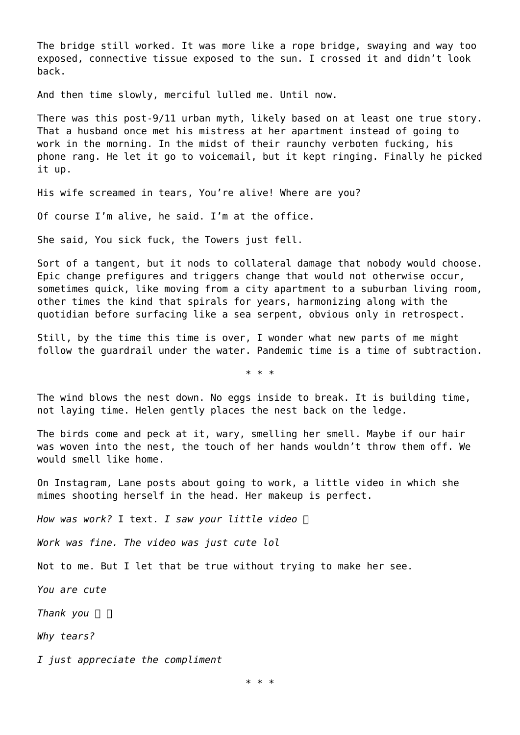The bridge still worked. It was more like a rope bridge, swaying and way too exposed, connective tissue exposed to the sun. I crossed it and didn't look back.

And then time slowly, merciful lulled me. Until now.

There was this post-9/11 urban myth, likely based on at least one true story. That a husband once met his mistress at her apartment instead of going to work in the morning. In the midst of their raunchy verboten fucking, his phone rang. He let it go to voicemail, but it kept ringing. Finally he picked it up.

His wife screamed in tears, You're alive! Where are you?

Of course I'm alive, he said. I'm at the office.

She said, You sick fuck, the Towers just fell.

Sort of a tangent, but it nods to collateral damage that nobody would choose. Epic change prefigures and triggers change that would not otherwise occur, sometimes quick, like moving from a city apartment to a suburban living room, other times the kind that spirals for years, harmonizing along with the quotidian before surfacing like a sea serpent, obvious only in retrospect.

Still, by the time this time is over, I wonder what new parts of me might follow the guardrail under the water. Pandemic time is a time of subtraction.

\* \* \*

The wind blows the nest down. No eggs inside to break. It is building time, not laying time. Helen gently places the nest back on the ledge.

The birds come and peck at it, wary, smelling her smell. Maybe if our hair was woven into the nest, the touch of her hands wouldn't throw them off. We would smell like home.

On Instagram, Lane posts about going to work, a little video in which she mimes shooting herself in the head. Her makeup is perfect.

*How was work?* I text. *I saw your little video*

*Work was fine. The video was just cute lol*

Not to me. But I let that be true without trying to make her see.

*You are cute*

*Thank you*

*Why tears?*

*I just appreciate the compliment*

\* \* \*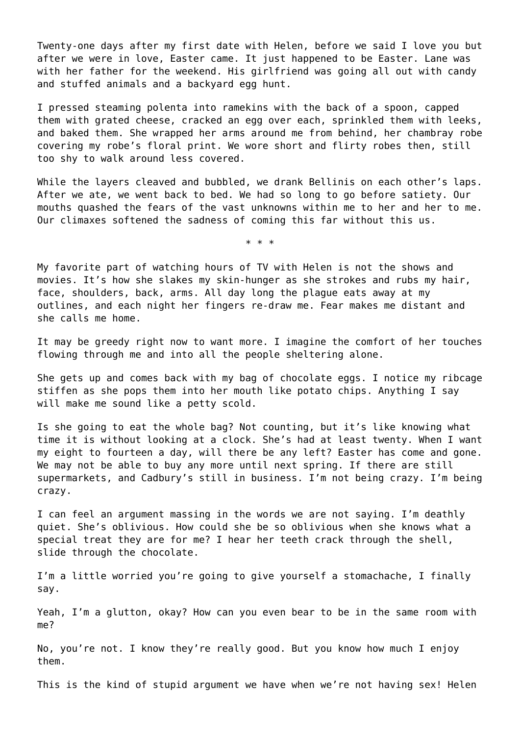Twenty-one days after my first date with Helen, before we said I love you but after we were in love, Easter came. It just happened to be Easter. Lane was with her father for the weekend. His girlfriend was going all out with candy and stuffed animals and a backyard egg hunt.

I pressed steaming polenta into ramekins with the back of a spoon, capped them with grated cheese, cracked an egg over each, sprinkled them with leeks, and baked them. She wrapped her arms around me from behind, her chambray robe covering my robe's floral print. We wore short and flirty robes then, still too shy to walk around less covered.

While the layers cleaved and bubbled, we drank Bellinis on each other's laps. After we ate, we went back to bed. We had so long to go before satiety. Our mouths quashed the fears of the vast unknowns within me to her and her to me. Our climaxes softened the sadness of coming this far without this us.

\* \* \*

My favorite part of watching hours of TV with Helen is not the shows and movies. It's how she slakes my skin-hunger as she strokes and rubs my hair, face, shoulders, back, arms. All day long the plague eats away at my outlines, and each night her fingers re-draw me. Fear makes me distant and she calls me home.

It may be greedy right now to want more. I imagine the comfort of her touches flowing through me and into all the people sheltering alone.

She gets up and comes back with my bag of chocolate eggs. I notice my ribcage stiffen as she pops them into her mouth like potato chips. Anything I say will make me sound like a petty scold.

Is she going to eat the whole bag? Not counting, but it's like knowing what time it is without looking at a clock. She's had at least twenty. When I want my eight to fourteen a day, will there be any left? Easter has come and gone. We may not be able to buy any more until next spring. If there are still supermarkets, and Cadbury's still in business. I'm not being crazy. I'm being crazy.

I can feel an argument massing in the words we are not saying. I'm deathly quiet. She's oblivious. How could she be so oblivious when she knows what a special treat they are for me? I hear her teeth crack through the shell, slide through the chocolate.

I'm a little worried you're going to give yourself a stomachache, I finally say.

Yeah, I'm a glutton, okay? How can you even bear to be in the same room with me?

No, you're not. I know they're really good. But you know how much I enjoy them.

This is the kind of stupid argument we have when we're not having sex! Helen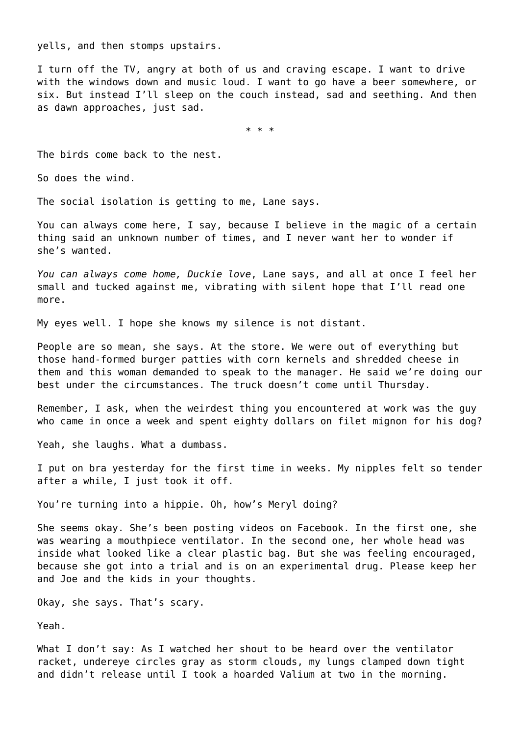yells, and then stomps upstairs.

I turn off the TV, angry at both of us and craving escape. I want to drive with the windows down and music loud. I want to go have a beer somewhere, or six. But instead I'll sleep on the couch instead, sad and seething. And then as dawn approaches, just sad.

\* \* \*

The birds come back to the nest.

So does the wind.

The social isolation is getting to me, Lane says.

You can always come here, I say, because I believe in the magic of a certain thing said an unknown number of times, and I never want her to wonder if she's wanted.

*You can always come home, Duckie love*, Lane says, and all at once I feel her small and tucked against me, vibrating with silent hope that I'll read one more.

My eyes well. I hope she knows my silence is not distant.

People are so mean, she says. At the store. We were out of everything but those hand-formed burger patties with corn kernels and shredded cheese in them and this woman demanded to speak to the manager. He said we're doing our best under the circumstances. The truck doesn't come until Thursday.

Remember, I ask, when the weirdest thing you encountered at work was the guy who came in once a week and spent eighty dollars on filet mignon for his dog?

Yeah, she laughs. What a dumbass.

I put on bra yesterday for the first time in weeks. My nipples felt so tender after a while, I just took it off.

You're turning into a hippie. Oh, how's Meryl doing?

She seems okay. She's been posting videos on Facebook. In the first one, she was wearing a mouthpiece ventilator. In the second one, her whole head was inside what looked like a clear plastic bag. But she was feeling encouraged, because she got into a trial and is on an experimental drug. Please keep her and Joe and the kids in your thoughts.

Okay, she says. That's scary.

Yeah.

What I don't say: As I watched her shout to be heard over the ventilator racket, undereye circles gray as storm clouds, my lungs clamped down tight and didn't release until I took a hoarded Valium at two in the morning.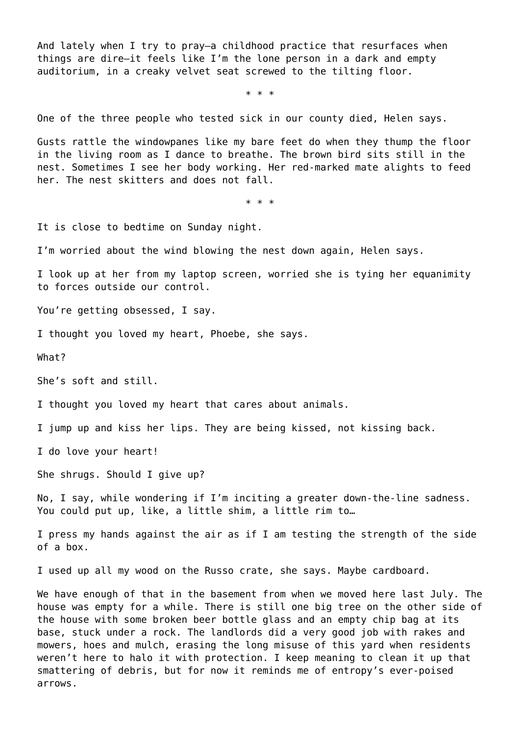And lately when I try to pray—a childhood practice that resurfaces when things are dire—it feels like I'm the lone person in a dark and empty auditorium, in a creaky velvet seat screwed to the tilting floor.

\* \* \*

One of the three people who tested sick in our county died, Helen says.

Gusts rattle the windowpanes like my bare feet do when they thump the floor in the living room as I dance to breathe. The brown bird sits still in the nest. Sometimes I see her body working. Her red-marked mate alights to feed her. The nest skitters and does not fall.

\* \* \*

It is close to bedtime on Sunday night.

I'm worried about the wind blowing the nest down again, Helen says.

I look up at her from my laptop screen, worried she is tying her equanimity to forces outside our control.

You're getting obsessed, I say.

I thought you loved my heart, Phoebe, she says.

What?

She's soft and still.

I thought you loved my heart that cares about animals.

I jump up and kiss her lips. They are being kissed, not kissing back.

I do love your heart!

She shrugs. Should I give up?

No, I say, while wondering if I'm inciting a greater down-the-line sadness. You could put up, like, a little shim, a little rim to…

I press my hands against the air as if I am testing the strength of the side of a box.

I used up all my wood on the Russo crate, she says. Maybe cardboard.

We have enough of that in the basement from when we moved here last July. The house was empty for a while. There is still one big tree on the other side of the house with some broken beer bottle glass and an empty chip bag at its base, stuck under a rock. The landlords did a very good job with rakes and mowers, hoes and mulch, erasing the long misuse of this yard when residents weren't here to halo it with protection. I keep meaning to clean it up that smattering of debris, but for now it reminds me of entropy's ever-poised arrows.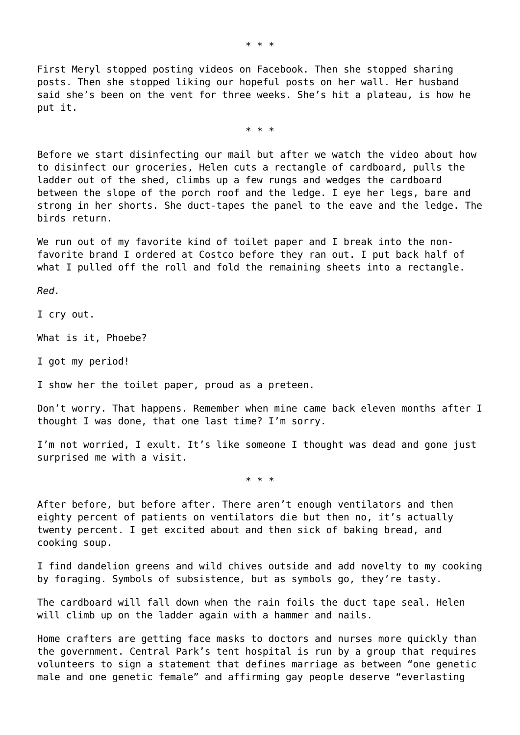First Meryl stopped posting videos on Facebook. Then she stopped sharing posts. Then she stopped liking our hopeful posts on her wall. Her husband said she's been on the vent for three weeks. She's hit a plateau, is how he put it.

\* \* \*

Before we start disinfecting our mail but after we watch the video about how to disinfect our groceries, Helen cuts a rectangle of cardboard, pulls the ladder out of the shed, climbs up a few rungs and wedges the cardboard between the slope of the porch roof and the ledge. I eye her legs, bare and strong in her shorts. She duct-tapes the panel to the eave and the ledge. The birds return.

We run out of my favorite kind of toilet paper and I break into the nonfavorite brand I ordered at Costco before they ran out. I put back half of what I pulled off the roll and fold the remaining sheets into a rectangle.

*Red.*

I cry out.

What is it, Phoebe?

I got my period!

I show her the toilet paper, proud as a preteen.

Don't worry. That happens. Remember when mine came back eleven months after I thought I was done, that one last time? I'm sorry.

I'm not worried, I exult. It's like someone I thought was dead and gone just surprised me with a visit.

\* \* \*

After before, but before after. There aren't enough ventilators and then eighty percent of patients on ventilators die but then no, it's actually twenty percent. I get excited about and then sick of baking bread, and cooking soup.

I find dandelion greens and wild chives outside and add novelty to my cooking by foraging. Symbols of subsistence, but as symbols go, they're tasty.

The cardboard will fall down when the rain foils the duct tape seal. Helen will climb up on the ladder again with a hammer and nails.

Home crafters are getting face masks to doctors and nurses more quickly than the government. Central Park's tent hospital is run by a group that requires volunteers to sign a statement that defines marriage as between "one genetic male and one genetic female" and affirming gay people deserve "everlasting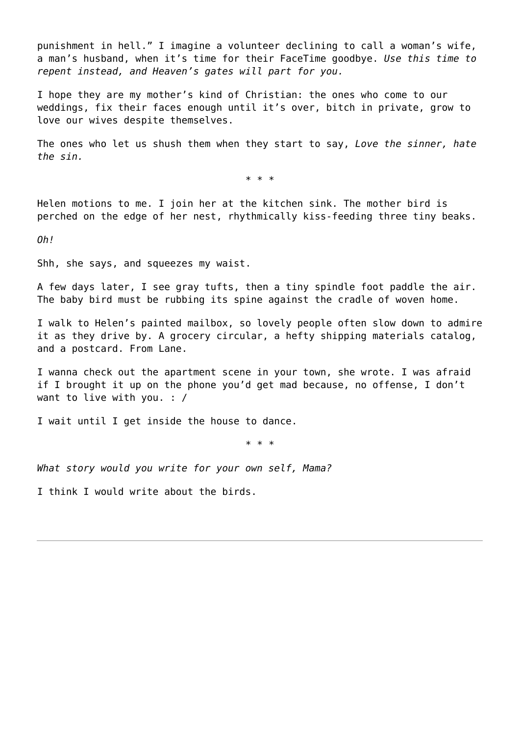punishment in hell." I imagine a volunteer declining to call a woman's wife, a man's husband, when it's time for their FaceTime goodbye. *Use this time to repent instead, and Heaven's gates will part for you.*

I hope they are my mother's kind of Christian: the ones who come to our weddings, fix their faces enough until it's over, bitch in private, grow to love our wives despite themselves.

The ones who let us shush them when they start to say, *Love the sinner, hate the sin.*

\* \* \*

Helen motions to me. I join her at the kitchen sink. The mother bird is perched on the edge of her nest, rhythmically kiss-feeding three tiny beaks.

*Oh!*

Shh, she says, and squeezes my waist.

A few days later, I see gray tufts, then a tiny spindle foot paddle the air. The baby bird must be rubbing its spine against the cradle of woven home.

I walk to Helen's painted mailbox, so lovely people often slow down to admire it as they drive by. A grocery circular, a hefty shipping materials catalog, and a postcard. From Lane.

I wanna check out the apartment scene in your town, she wrote. I was afraid if I brought it up on the phone you'd get mad because, no offense, I don't want to live with you. : /

I wait until I get inside the house to dance.

\* \* \*

*What story would you write for your own self, Mama?*

I think I would write about the birds.